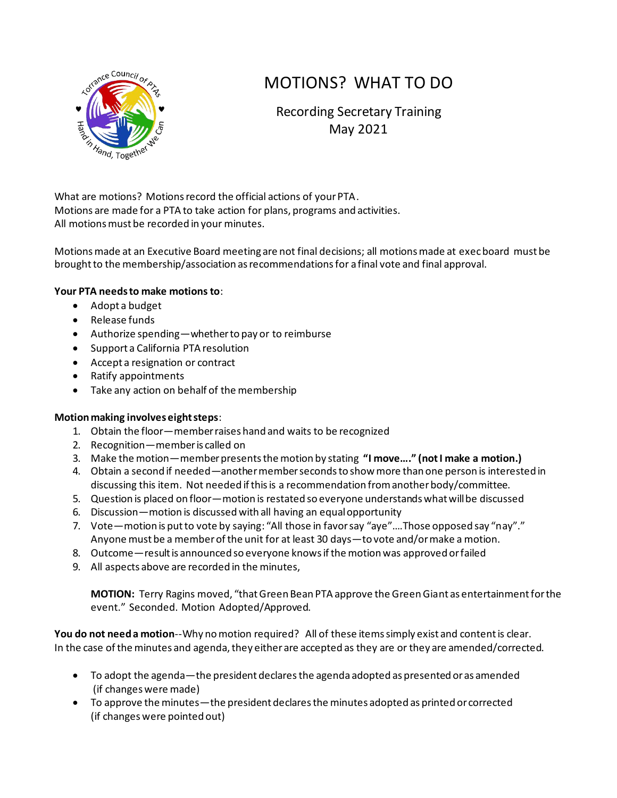

# MOTIONS? WHAT TO DO

Recording Secretary Training May 2021

What are motions? Motions record the official actions of your PTA. Motions are made for a PTA to take action for plans, programs and activities. All motions must be recorded in your minutes.

Motions made at an Executive Board meeting are not final decisions; all motions made at exec board must be brought to the membership/association as recommendations for a final vote and final approval.

## **Your PTA needs to make motions to**:

- Adopt a budget
- Release funds
- Authorize spending—whether to pay or to reimburse
- Support a California PTA resolution
- Accept a resignation or contract
- Ratify appointments
- Take any action on behalf of the membership

## **Motion making involves eight steps**:

- 1. Obtain the floor—member raises hand and waits to be recognized
- 2. Recognition—member is called on
- 3. Make the motion—member presents the motion by stating **"I move…." (not I make a motion.)**
- 4. Obtain a second if needed—another member seconds to show more than one person is interested in discussing this item. Not needed if this is a recommendation from another body/committee.
- 5. Question is placed on floor—motion is restated so everyone understands what will be discussed
- 6. Discussion—motion is discussed with all having an equal opportunity
- 7. Vote—motion is put to vote by saying: "All those in favor say "aye"….Those opposed say "nay"." Anyone must be a member of the unit for at least 30 days—to vote and/or make a motion.
- 8. Outcome—result is announced so everyone knows if the motion was approved or failed
- 9. All aspects above are recorded in the minutes,

**MOTION:** Terry Ragins moved, "that Green Bean PTA approve the Green Giant as entertainment for the event." Seconded. Motion Adopted/Approved.

**You do not need a motion**--Why no motion required? All of these items simply exist and content is clear. In the case of the minutes and agenda, they either are accepted as they are or they are amended/corrected.

- To adopt the agenda—the president declares the agenda adopted as presented or as amended (if changes were made)
- To approve the minutes—the president declares the minutes adopted as printed or corrected (if changes were pointed out)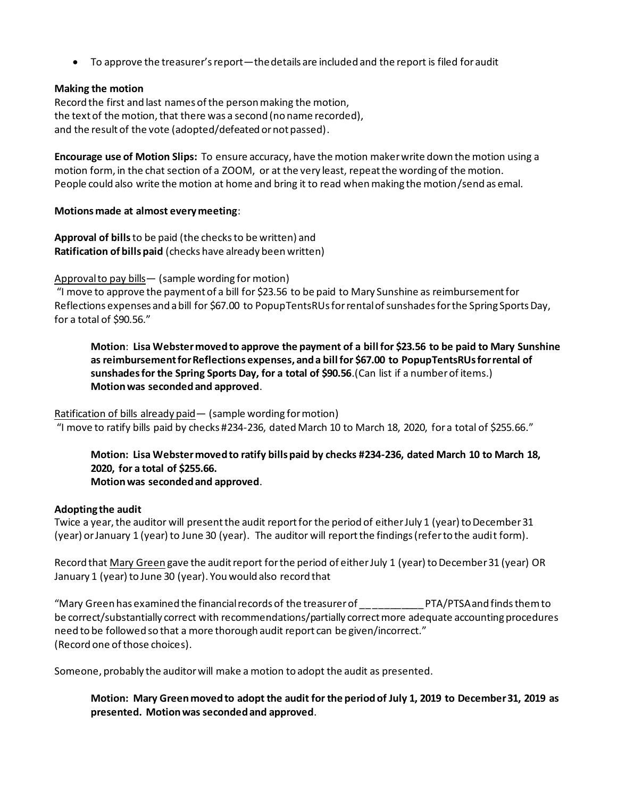• To approve the treasurer's report—the details are included and the report is filed for audit

### **Making the motion**

Record the first and last names of the person making the motion, the text of the motion, that there was a second (no name recorded), and the result of the vote (adopted/defeated or not passed).

**Encourage use of Motion Slips:** To ensure accuracy, have the motion maker write down the motion using a motion form, in the chat section of a ZOOM, or at the very least, repeat the wording of the motion. People could also write the motion at home and bring it to read when making the motion/send as emal.

### **Motions made at almost every meeting**:

**Approval of bills**to be paid (the checks to be written) and **Ratification of bills paid** (checks have already been written)

Approval to pay bills— (sample wording for motion)

"I move to approve the payment of a bill for \$23.56 to be paid to Mary Sunshine as reimbursement for Reflections expenses and a bill for \$67.00 to PopupTentsRUsfor rental of sunshades for the Spring Sports Day, for a total of \$90.56."

**Motion**: **Lisa Webstermoved to approve the payment of a bill for \$23.56 to be paid to Mary Sunshine as reimbursement for Reflections expenses, and a bill for \$67.00 to PopupTentsRUsfor rental of sunshades for the Spring Sports Day, for a total of \$90.56**.(Can list if a number of items.) **Motion was seconded and approved**.

### Ratification of bills already paid - (sample wording for motion)

"I move to ratify bills paid by checks #234-236, dated March 10 to March 18, 2020, for a total of \$255.66."

# **Motion: Lisa Webster moved to ratify bills paid by checks #234-236, dated March 10 to March 18, 2020, for a total of \$255.66.**

### **Motion was seconded and approved**.

### **Adopting the audit**

Twice a year, the auditor will present the audit report for the period of either July 1 (year) to December 31 (year) or January 1 (year) to June 30 (year). The auditor will report the findings (refer to the audit form).

Record that Mary Green gave the audit report for the period of either July 1 (year) to December 31 (year) OR January 1 (year) to June 30 (year). You would also record that

"Mary Green has examined the financial records of the treasurer of \_\_\_\_\_\_\_\_\_\_\_ PTA/PTSA and finds them to be correct/substantially correct with recommendations/partially correct more adequate accounting procedures need to be followed so that a more thorough audit report can be given/incorrect." (Record one of those choices).

Someone, probably the auditor will make a motion to adopt the audit as presented.

**Motion: Mary Green moved to adopt the audit for the period of July 1, 2019 to December 31, 2019 as presented. Motion was seconded and approved**.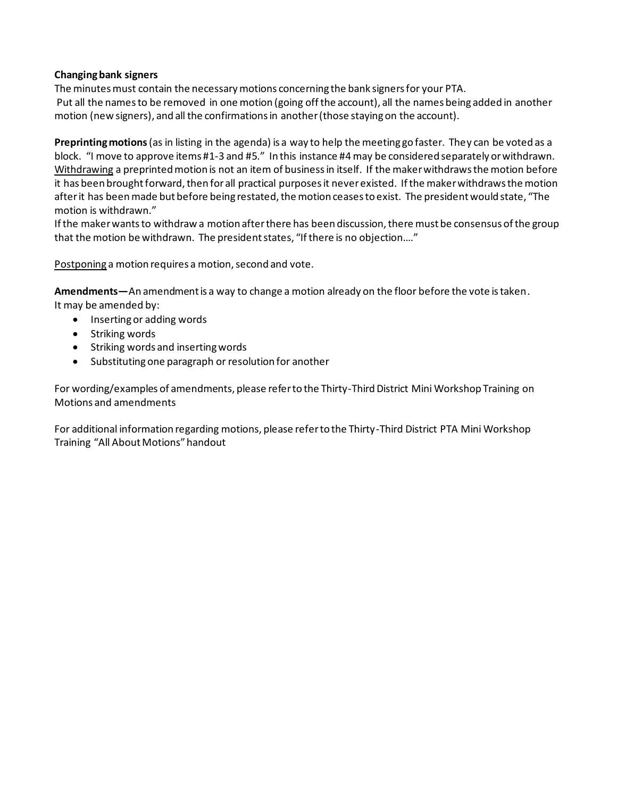## **Changing bank signers**

The minutes must contain the necessary motions concerning the bank signers for your PTA. Put all the names to be removed in one motion (going off the account), all the names being added in another motion (new signers), and all the confirmations in another (those staying on the account).

**Preprinting motions**(as in listing in the agenda) is a way to help the meeting go faster. They can be voted as a block. "I move to approve items #1-3 and #5." In this instance #4 may be considered separately or withdrawn. Withdrawing a preprinted motion is not an item of business in itself. If the maker withdraws the motion before it has been brought forward, then for all practical purposes it never existed. If the maker withdraws the motion after it has been made but before being restated, the motion ceases to exist. The president would state, "The motion is withdrawn."

If the maker wants to withdraw a motion after there has been discussion, there must be consensus of the group that the motion be withdrawn. The president states, "If there is no objection…."

Postponing a motion requires a motion, second and vote.

**Amendments—**An amendment is a way to change a motion already on the floor before the vote is taken. It may be amended by:

- Inserting or adding words
- Striking words
- Striking words and inserting words
- Substituting one paragraph or resolution for another

For wording/examples of amendments, please refer to the Thirty-Third District Mini Workshop Training on Motions and amendments

For additional information regarding motions, please refer to the Thirty-Third District PTA Mini Workshop Training "All About Motions" handout